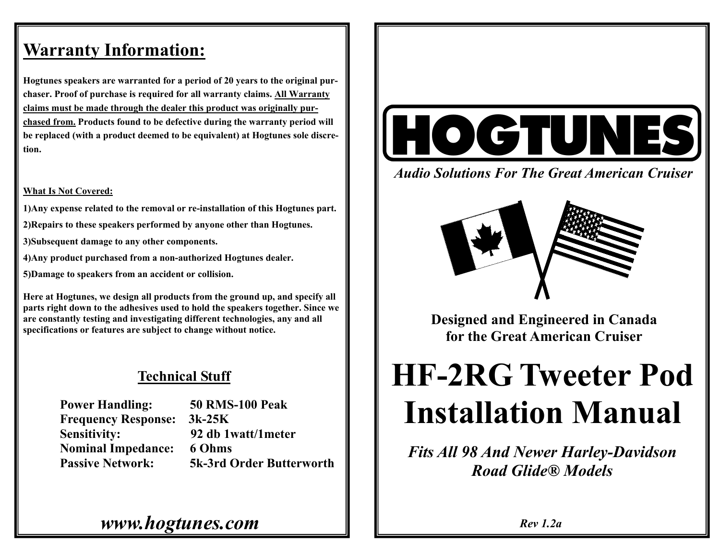## **Warranty Information:**

**Hogtunes speakers are warranted for a period of 20 years to the original purchaser. Proof of purchase is required for all warranty claims. All Warranty claims must be made through the dealer this product was originally purchased from. Products found to be defective during the warranty period will be replaced (with a product deemed to be equivalent) at Hogtunes sole discretion.** 

#### **What Is Not Covered:**

**1)Any expense related to the removal or re-installation of this Hogtunes part. 2)Repairs to these speakers performed by anyone other than Hogtunes. 3)Subsequent damage to any other components. 4)Any product purchased from a non-authorized Hogtunes dealer.** 

**5)Damage to speakers from an accident or collision.** 

**Here at Hogtunes, we design all products from the ground up, and specify all parts right down to the adhesives used to hold the speakers together. Since we are constantly testing and investigating different technologies, any and all specifications or features are subject to change without notice.** 

### **Technical Stuff**

 **Power Handling: 50 RMS-100 Peak Frequency Response: 3k-25K Nominal Impedance: 6 Ohms** 

 **Sensitivity: 92 db 1watt/1meter Passive Network: 5k-3rd Order Butterworth** 



*Audio Solutions For The Great American Cruiser* 



**Designed and Engineered in Canada for the Great American Cruiser** 

# **HF-2RG Tweeter Pod Installation Manual**

*Fits All 98 And Newer Harley-Davidson Road Glide® Models* 

*www.hogtunes.com*